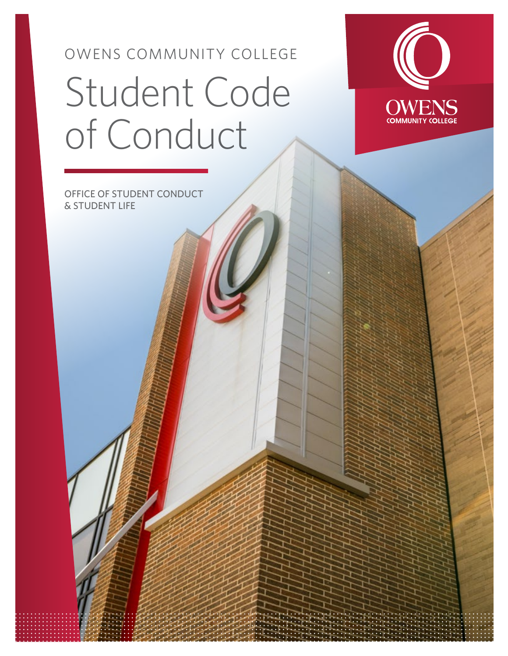# OWENS COMMUNITY COLLEGE Student Code of Conduct



OFFICE OF STUDENT CONDUCT & STUDENT LIFE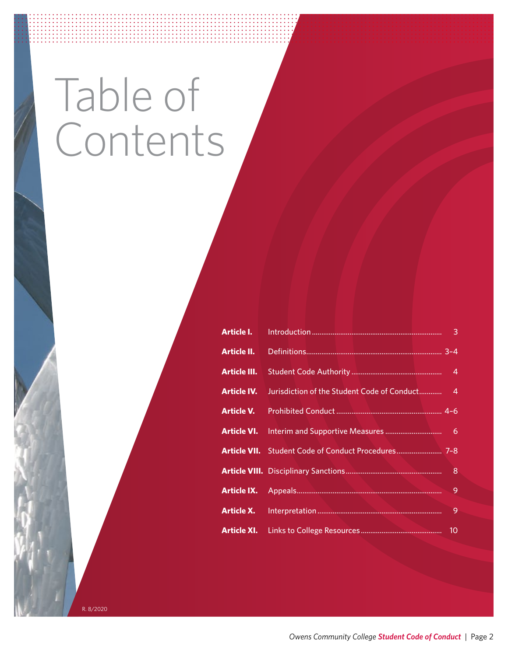# Table of Contents

| Article I.          |    |
|---------------------|----|
| Article II.         |    |
| <b>Article III.</b> |    |
| <b>Article IV.</b>  |    |
| Article V.          |    |
|                     |    |
|                     |    |
|                     | 8  |
|                     | 9  |
| Article X.          | 9  |
| Article XI.         | 10 |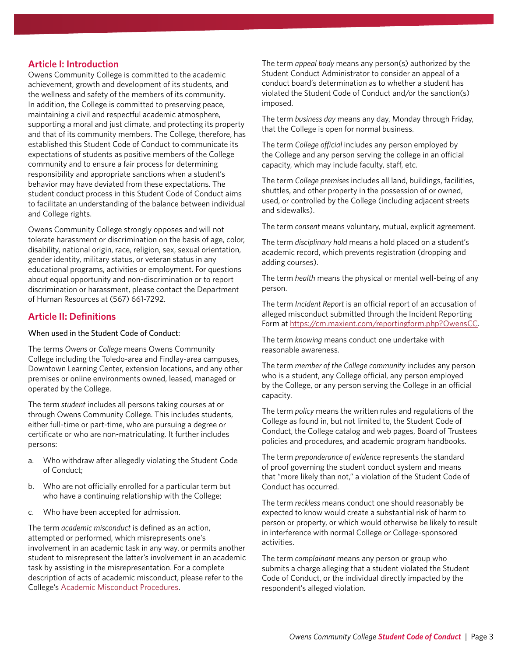#### **Article I: Introduction**

Owens Community College is committed to the academic achievement, growth and development of its students, and the wellness and safety of the members of its community. In addition, the College is committed to preserving peace, maintaining a civil and respectful academic atmosphere, supporting a moral and just climate, and protecting its property and that of its community members. The College, therefore, has established this Student Code of Conduct to communicate its expectations of students as positive members of the College community and to ensure a fair process for determining responsibility and appropriate sanctions when a student's behavior may have deviated from these expectations. The student conduct process in this Student Code of Conduct aims to facilitate an understanding of the balance between individual and College rights.

Owens Community College strongly opposes and will not tolerate harassment or discrimination on the basis of age, color, disability, national origin, race, religion, sex, sexual orientation, gender identity, military status, or veteran status in any educational programs, activities or employment. For questions about equal opportunity and non-discrimination or to report discrimination or harassment, please contact the Department of Human Resources at (567) 661-7292.

#### **Article II: Definitions**

#### When used in the Student Code of Conduct:

The terms *Owens* or *College* means Owens Community College including the Toledo-area and Findlay-area campuses, Downtown Learning Center, extension locations, and any other premises or online environments owned, leased, managed or operated by the College.

The term *student* includes all persons taking courses at or through Owens Community College. This includes students, either full-time or part-time, who are pursuing a degree or certificate or who are non-matriculating. It further includes persons:

- a. Who withdraw after allegedly violating the Student Code of Conduct;
- b. Who are not officially enrolled for a particular term but who have a continuing relationship with the College;
- c. Who have been accepted for admission.

The term *academic misconduct* is defined as an action, attempted or performed, which misrepresents one's involvement in an academic task in any way, or permits another student to misrepresent the latter's involvement in an academic task by assisting in the misrepresentation. For a complete description of acts of academic misconduct, please refer to the College's [Academic Misconduct Procedures](https://cdn.owens.edu/trustees/procedures/proc3358-11-2-55.pdf).

The term *appeal body* means any person(s) authorized by the Student Conduct Administrator to consider an appeal of a conduct board's determination as to whether a student has violated the Student Code of Conduct and/or the sanction(s) imposed.

The term *business day* means any day, Monday through Friday, that the College is open for normal business.

The term *College official* includes any person employed by the College and any person serving the college in an official capacity, which may include faculty, staff, etc.

The term *College premises* includes all land, buildings, facilities, shuttles, and other property in the possession of or owned, used, or controlled by the College (including adjacent streets and sidewalks).

The term *consent* means voluntary, mutual, explicit agreement.

The term *disciplinary hold* means a hold placed on a student's academic record, which prevents registration (dropping and adding courses).

The term *health* means the physical or mental well-being of any person.

The term *Incident Report* is an official report of an accusation of alleged misconduct submitted through the Incident Reporting Form at [https://cm.maxient.com/reportingform.php?OwensCC.](https://cm.maxient.com/reportingform.php?OwensCC)

The term *knowing* means conduct one undertake with reasonable awareness.

The term *member of the College community* includes any person who is a student, any College official, any person employed by the College, or any person serving the College in an official capacity.

The term *policy* means the written rules and regulations of the College as found in, but not limited to, the Student Code of Conduct, the College catalog and web pages, Board of Trustees policies and procedures, and academic program handbooks.

The term *preponderance of evidence* represents the standard of proof governing the student conduct system and means that "more likely than not," a violation of the Student Code of Conduct has occurred.

The term *reckless* means conduct one should reasonably be expected to know would create a substantial risk of harm to person or property, or which would otherwise be likely to result in interference with normal College or College-sponsored activities.

The term *complainant* means any person or group who submits a charge alleging that a student violated the Student Code of Conduct, or the individual directly impacted by the respondent's alleged violation.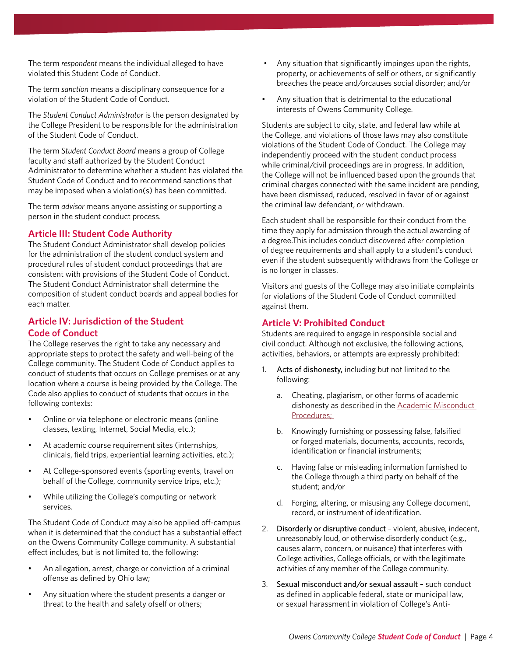The term *respondent* means the individual alleged to have violated this Student Code of Conduct.

The term *sanction* means a disciplinary consequence for a violation of the Student Code of Conduct.

The *Student Conduct Administrator* is the person designated by the College President to be responsible for the administration of the Student Code of Conduct.

The term *Student Conduct Board* means a group of College faculty and staff authorized by the Student Conduct Administrator to determine whether a student has violated the Student Code of Conduct and to recommend sanctions that may be imposed when a violation(s) has been committed.

The term *advisor* means anyone assisting or supporting a person in the student conduct process.

### **Article III: Student Code Authority**

The Student Conduct Administrator shall develop policies for the administration of the student conduct system and procedural rules of student conduct proceedings that are consistent with provisions of the Student Code of Conduct. The Student Conduct Administrator shall determine the composition of student conduct boards and appeal bodies for each matter.

### **Article IV: Jurisdiction of the Student Code of Conduct**

The College reserves the right to take any necessary and appropriate steps to protect the safety and well-being of the College community. The Student Code of Conduct applies to conduct of students that occurs on College premises or at any location where a course is being provided by the College. The Code also applies to conduct of students that occurs in the following contexts:

- Online or via telephone or electronic means (online classes, texting, Internet, Social Media, etc.);
- At academic course requirement sites (internships, clinicals, field trips, experiential learning activities, etc.);
- At College-sponsored events (sporting events, travel on behalf of the College, community service trips, etc.);
- While utilizing the College's computing or network services.

The Student Code of Conduct may also be applied off-campus when it is determined that the conduct has a substantial effect on the Owens Community College community. A substantial effect includes, but is not limited to, the following:

- An allegation, arrest, charge or conviction of a criminal offense as defined by Ohio law;
- Any situation where the student presents a danger or threat to the health and safety ofself or others;
- Any situation that significantly impinges upon the rights, property, or achievements of self or others, or significantly breaches the peace and/orcauses social disorder; and/or
- Any situation that is detrimental to the educational interests of Owens Community College.

Students are subject to city, state, and federal law while at the College, and violations of those laws may also constitute violations of the Student Code of Conduct. The College may independently proceed with the student conduct process while criminal/civil proceedings are in progress. In addition, the College will not be influenced based upon the grounds that criminal charges connected with the same incident are pending, have been dismissed, reduced, resolved in favor of or against the criminal law defendant, or withdrawn.

Each student shall be responsible for their conduct from the time they apply for admission through the actual awarding of a degree.This includes conduct discovered after completion of degree requirements and shall apply to a student's conduct even if the student subsequently withdraws from the College or is no longer in classes.

Visitors and guests of the College may also initiate complaints for violations of the Student Code of Conduct committed against them.

# **Article V: Prohibited Conduct**

Students are required to engage in responsible social and civil conduct. Although not exclusive, the following actions, activities, behaviors, or attempts are expressly prohibited:

- 1. Acts of dishonesty, including but not limited to the following:
	- a. Cheating, plagiarism, or other forms of academic dishonesty as described in the **Academic Misconduct** [Procedures;](https://www.owens.edu/trustees/procedures/proc3358-11-2-55.pdf)
	- b. Knowingly furnishing or possessing false, falsified or forged materials, documents, accounts, records, identification or financial instruments;
	- c. Having false or misleading information furnished to the College through a third party on behalf of the student; and/or
	- d. Forging, altering, or misusing any College document, record, or instrument of identification.
- 2. Disorderly or disruptive conduct violent, abusive, indecent, unreasonably loud, or otherwise disorderly conduct (e.g., causes alarm, concern, or nuisance) that interferes with College activities, College officials, or with the legitimate activities of any member of the College community.
- 3. Sexual misconduct and/or sexual assault such conduct as defined in applicable federal, state or municipal law, or sexual harassment in violation of College's Anti-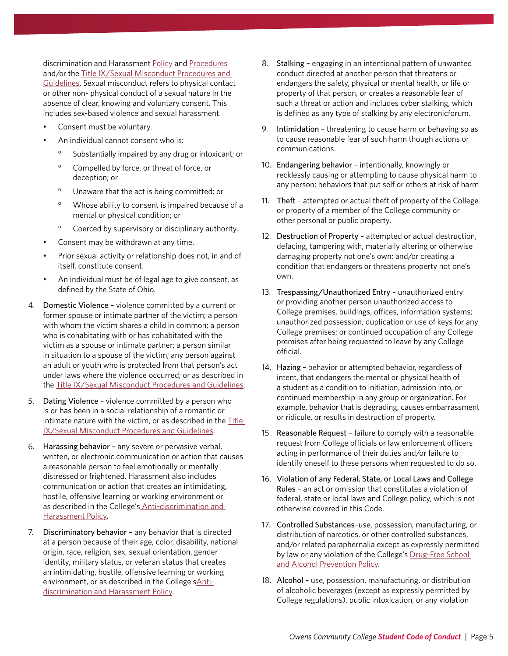discrimination and Harassment [Policy](https://cdn.owens.edu/trustees/board_policies/11-4-17.pdf) and [Procedures](https://cdn.owens.edu/trustees/procedures/proc3358-11-4-17.pdf) and/or the [Title IX/Sexual Misconduct Procedures and](https://cdn.owens.edu/trustees/procedures/proc3358-11-4-17-titleIX.pdf)  [Guidelines.](https://cdn.owens.edu/trustees/procedures/proc3358-11-4-17-titleIX.pdf) Sexual misconduct refers to physical contact or other non- physical conduct of a sexual nature in the absence of clear, knowing and voluntary consent. This includes sex-based violence and sexual harassment.

- Consent must be voluntary.
- An individual cannot consent who is:
	- Substantially impaired by any drug or intoxicant; or
	- ° Compelled by force, or threat of force, or deception; or
	- ° Unaware that the act is being committed; or
	- ° Whose ability to consent is impaired because of a mental or physical condition; or
	- ° Coerced by supervisory or disciplinary authority.
- Consent may be withdrawn at any time.
- Prior sexual activity or relationship does not, in and of itself, constitute consent.
- An individual must be of legal age to give consent, as defined by the State of Ohio.
- 4. Domestic Violence violence committed by a current or former spouse or intimate partner of the victim; a person with whom the victim shares a child in common; a person who is cohabitating with or has cohabitated with the victim as a spouse or intimate partner; a person similar in situation to a spouse of the victim; any person against an adult or youth who is protected from that person's act under laws where the violence occurred; or as described in the [Title IX/Sexual Misconduct Procedures and Guidelines.](https://cdn.owens.edu/trustees/procedures/proc3358-11-4-17-titleIX.pdf)
- 5. Dating Violence violence committed by a person who is or has been in a social relationship of a romantic or intimate nature with the victim, or as described in the [Title](https://cdn.owens.edu/trustees/procedures/proc3358-11-4-17-titleIX.pdf)  [IX/Sexual Misconduct Procedures and Guidelines](https://cdn.owens.edu/trustees/procedures/proc3358-11-4-17-titleIX.pdf).
- 6. Harassing behavior any severe or pervasive verbal, written, or electronic communication or action that causes a reasonable person to feel emotionally or mentally distressed or frightened. Harassment also includes communication or action that creates an intimidating, hostile, offensive learning or working environment or as described in the College's [Anti-discrimination and](https://cdn.owens.edu/trustees/board_policies/11-4-17.pdf)  [Harassment Policy.](https://cdn.owens.edu/trustees/board_policies/11-4-17.pdf)
- 7. Discriminatory behavior any behavior that is directed at a person because of their age, color, disability, national origin, race, religion, sex, sexual orientation, gender identity, military status, or veteran status that creates an intimidating, hostile, offensive learning or working environment, or as described in the College's[Anti](https://cdn.owens.edu/trustees/board_policies/11-4-17.pdf)[discrimination and Harassment Policy.](https://cdn.owens.edu/trustees/board_policies/11-4-17.pdf)
- 8. Stalking engaging in an intentional pattern of unwanted conduct directed at another person that threatens or endangers the safety, physical or mental health, or life or property of that person, or creates a reasonable fear of such a threat or action and includes cyber stalking, which is defined as any type of stalking by any electronicforum.
- 9. Intimidation threatening to cause harm or behaving so as to cause reasonable fear of such harm though actions or communications.
- 10. Endangering behavior intentionally, knowingly or recklessly causing or attempting to cause physical harm to any person; behaviors that put self or others at risk of harm
- 11. Theft attempted or actual theft of property of the College or property of a member of the College community or other personal or public property.
- 12. Destruction of Property attempted or actual destruction, defacing, tampering with, materially altering or otherwise damaging property not one's own; and/or creating a condition that endangers or threatens property not one's own.
- 13. Trespassing/Unauthorized Entry unauthorized entry or providing another person unauthorized access to College premises, buildings, offices, information systems; unauthorized possession, duplication or use of keys for any College premises; or continued occupation of any College premises after being requested to leave by any College official.
- 14. Hazing behavior or attempted behavior, regardless of intent, that endangers the mental or physical health of a student as a condition to initiation, admission into, or continued membership in any group or organization. For example, behavior that is degrading, causes embarrassment or ridicule, or results in destruction of property.
- 15. Reasonable Request failure to comply with a reasonable request from College officials or law enforcement officers acting in performance of their duties and/or failure to identify oneself to these persons when requested to do so.
- 16. Violation of any Federal, State, or Local Laws and College Rules – an act or omission that constitutes a violation of federal, state or local laws and College policy, which is not otherwise covered in this Code.
- 17. Controlled Substances–use, possession, manufacturing, or distribution of narcotics, or other controlled substances, and/or related paraphernalia except as expressly permitted by law or any violation of the College's Drug-Free School [and Alcohol Prevention Policy.](https://cdn.owens.edu/trustees/board_policies/11-3-01.pdf)
- 18. Alcohol use, possession, manufacturing, or distribution of alcoholic beverages (except as expressly permitted by College regulations), public intoxication, or any violation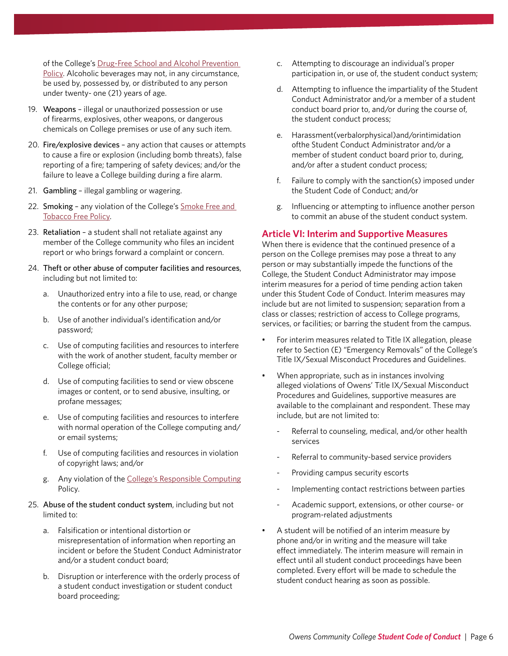of the College's Drug-Free School and Alcohol Prevention [Policy.](https://cdn.owens.edu/trustees/board_policies/11-3-01.pdf) Alcoholic beverages may not, in any circumstance, be used by, possessed by, or distributed to any person under twenty- one (21) years of age.

- 19. Weapons illegal or unauthorized possession or use of firearms, explosives, other weapons, or dangerous chemicals on College premises or use of any such item.
- 20. Fire/explosive devices any action that causes or attempts to cause a fire or explosion (including bomb threats), false reporting of a fire; tampering of safety devices; and/or the failure to leave a College building during a fire alarm.
- 21. Gambling illegal gambling or wagering.
- 22. Smoking any violation of the College's Smoke Free and [Tobacco Free Policy](https://cdn.owens.edu/trustees/board_policies/11-4-22.pdf).
- 23. Retaliation a student shall not retaliate against any member of the College community who files an incident report or who brings forward a complaint or concern.
- 24. Theft or other abuse of computer facilities and resources, including but not limited to:
	- a. Unauthorized entry into a file to use, read, or change the contents or for any other purpose;
	- b. Use of another individual's identification and/or password;
	- c. Use of computing facilities and resources to interfere with the work of another student, faculty member or College official;
	- d. Use of computing facilities to send or view obscene images or content, or to send abusive, insulting, or profane messages;
	- e. Use of computing facilities and resources to interfere with normal operation of the College computing and/ or email systems;
	- f. Use of computing facilities and resources in violation of copyright laws; and/or
	- g. Any violation of the [College's Responsible Computing](https://cdn.owens.edu/trustees/board_policies/11-4-10.pdf) Policy.
- 25. Abuse of the student conduct system, including but not limited to:
	- a. Falsification or intentional distortion or misrepresentation of information when reporting an incident or before the Student Conduct Administrator and/or a student conduct board;
	- b. Disruption or interference with the orderly process of a student conduct investigation or student conduct board proceeding;
- c. Attempting to discourage an individual's proper participation in, or use of, the student conduct system;
- d. Attempting to influence the impartiality of the Student Conduct Administrator and/or a member of a student conduct board prior to, and/or during the course of, the student conduct process;
- e. Harassment(verbalorphysical)and/orintimidation ofthe Student Conduct Administrator and/or a member of student conduct board prior to, during, and/or after a student conduct process;
- f. Failure to comply with the sanction(s) imposed under the Student Code of Conduct; and/or
- g. Influencing or attempting to influence another person to commit an abuse of the student conduct system.

#### **Article VI: Interim and Supportive Measures**

When there is evidence that the continued presence of a person on the College premises may pose a threat to any person or may substantially impede the functions of the College, the Student Conduct Administrator may impose interim measures for a period of time pending action taken under this Student Code of Conduct. Interim measures may include but are not limited to suspension; separation from a class or classes; restriction of access to College programs, services, or facilities; or barring the student from the campus.

- For interim measures related to Title IX allegation, please refer to Section (E) "Emergency Removals" of the College's Title IX/Sexual Misconduct Procedures and Guidelines.
- When appropriate, such as in instances involving alleged violations of Owens' Title IX/Sexual Misconduct Procedures and Guidelines, supportive measures are available to the complainant and respondent. These may include, but are not limited to:
	- Referral to counseling, medical, and/or other health services
	- Referral to community-based service providers
	- Providing campus security escorts
	- Implementing contact restrictions between parties
	- Academic support, extensions, or other course- or program-related adjustments
- A student will be notified of an interim measure by phone and/or in writing and the measure will take effect immediately. The interim measure will remain in effect until all student conduct proceedings have been completed. Every effort will be made to schedule the student conduct hearing as soon as possible.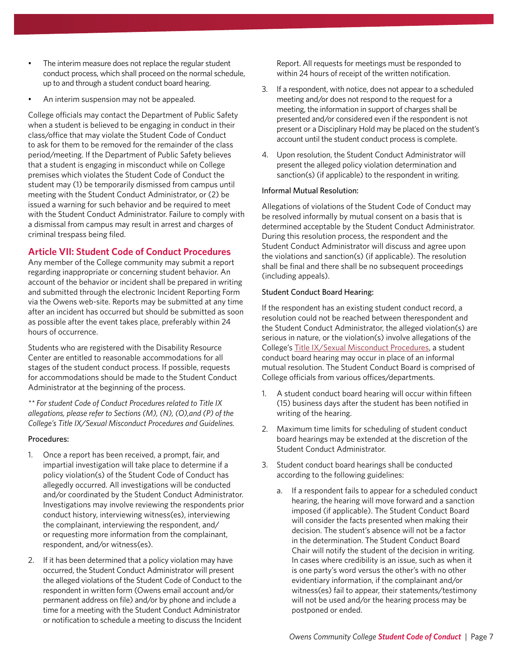- The interim measure does not replace the regular student conduct process, which shall proceed on the normal schedule, up to and through a student conduct board hearing.
- An interim suspension may not be appealed.

College officials may contact the Department of Public Safety when a student is believed to be engaging in conduct in their class/office that may violate the Student Code of Conduct to ask for them to be removed for the remainder of the class period/meeting. If the Department of Public Safety believes that a student is engaging in misconduct while on College premises which violates the Student Code of Conduct the student may (1) be temporarily dismissed from campus until meeting with the Student Conduct Administrator, or (2) be issued a warning for such behavior and be required to meet with the Student Conduct Administrator. Failure to comply with a dismissal from campus may result in arrest and charges of criminal trespass being filed.

#### **Article VII: Student Code of Conduct Procedures**

Any member of the College community may submit a report regarding inappropriate or concerning student behavior. An account of the behavior or incident shall be prepared in writing and submitted through the electronic Incident Reporting Form via the Owens web-site. Reports may be submitted at any time after an incident has occurred but should be submitted as soon as possible after the event takes place, preferably within 24 hours of occurrence.

Students who are registered with the Disability Resource Center are entitled to reasonable accommodations for all stages of the student conduct process. If possible, requests for accommodations should be made to the Student Conduct Administrator at the beginning of the process.

*\*\* For student Code of Conduct Procedures related to Title IX allegations, please refer to Sections (M), (N), (O),and (P) of the College's Title IX/Sexual Misconduct Procedures and Guidelines.*

#### Procedures:

- 1. Once a report has been received, a prompt, fair, and impartial investigation will take place to determine if a policy violation(s) of the Student Code of Conduct has allegedly occurred. All investigations will be conducted and/or coordinated by the Student Conduct Administrator. Investigations may involve reviewing the respondents prior conduct history, interviewing witness(es), interviewing the complainant, interviewing the respondent, and/ or requesting more information from the complainant, respondent, and/or witness(es).
- 2. If it has been determined that a policy violation may have occurred, the Student Conduct Administrator will present the alleged violations of the Student Code of Conduct to the respondent in written form (Owens email account and/or permanent address on file) and/or by phone and include a time for a meeting with the Student Conduct Administrator or notification to schedule a meeting to discuss the Incident

Report. All requests for meetings must be responded to within 24 hours of receipt of the written notification.

- 3. If a respondent, with notice, does not appear to a scheduled meeting and/or does not respond to the request for a meeting, the information in support of charges shall be presented and/or considered even if the respondent is not present or a Disciplinary Hold may be placed on the student's account until the student conduct process is complete.
- 4. Upon resolution, the Student Conduct Administrator will present the alleged policy violation determination and sanction(s) (if applicable) to the respondent in writing.

#### Informal Mutual Resolution:

Allegations of violations of the Student Code of Conduct may be resolved informally by mutual consent on a basis that is determined acceptable by the Student Conduct Administrator. During this resolution process, the respondent and the Student Conduct Administrator will discuss and agree upon the violations and sanction(s) (if applicable). The resolution shall be final and there shall be no subsequent proceedings (including appeals).

#### Student Conduct Board Hearing:

If the respondent has an existing student conduct record, a resolution could not be reached between therespondent and the Student Conduct Administrator, the alleged violation(s) are serious in nature, or the violation(s) involve allegations of the College's [Title IX/Sexual Misconduct Procedures](https://cdn.owens.edu/trustees/procedures/proc3358-11-4-17-titleIX.pdf), a student conduct board hearing may occur in place of an informal mutual resolution. The Student Conduct Board is comprised of College officials from various offices/departments.

- 1. A student conduct board hearing will occur within fifteen (15) business days after the student has been notified in writing of the hearing.
- 2. Maximum time limits for scheduling of student conduct board hearings may be extended at the discretion of the Student Conduct Administrator.
- 3. Student conduct board hearings shall be conducted according to the following guidelines:
	- a. If a respondent fails to appear for a scheduled conduct hearing, the hearing will move forward and a sanction imposed (if applicable). The Student Conduct Board will consider the facts presented when making their decision. The student's absence will not be a factor in the determination. The Student Conduct Board Chair will notify the student of the decision in writing. In cases where credibility is an issue, such as when it is one party's word versus the other's with no other evidentiary information, if the complainant and/or witness(es) fail to appear, their statements/testimony will not be used and/or the hearing process may be postponed or ended.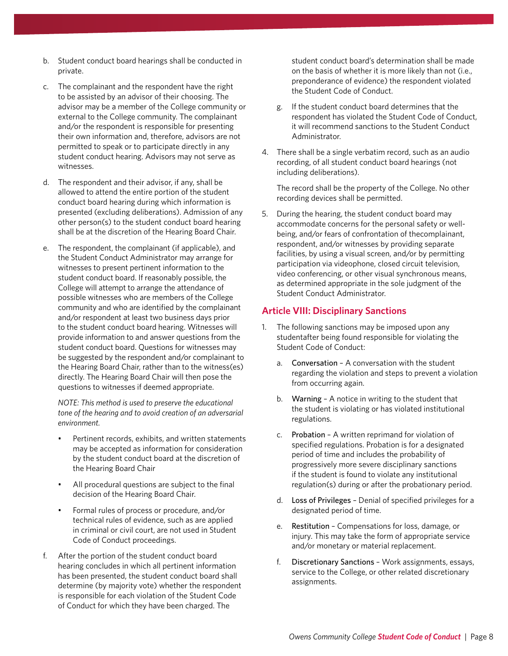- b. Student conduct board hearings shall be conducted in private.
- c. The complainant and the respondent have the right to be assisted by an advisor of their choosing. The advisor may be a member of the College community or external to the College community. The complainant and/or the respondent is responsible for presenting their own information and, therefore, advisors are not permitted to speak or to participate directly in any student conduct hearing. Advisors may not serve as witnesses.
- d. The respondent and their advisor, if any, shall be allowed to attend the entire portion of the student conduct board hearing during which information is presented (excluding deliberations). Admission of any other person(s) to the student conduct board hearing shall be at the discretion of the Hearing Board Chair.
- e. The respondent, the complainant (if applicable), and the Student Conduct Administrator may arrange for witnesses to present pertinent information to the student conduct board. If reasonably possible, the College will attempt to arrange the attendance of possible witnesses who are members of the College community and who are identified by the complainant and/or respondent at least two business days prior to the student conduct board hearing. Witnesses will provide information to and answer questions from the student conduct board. Questions for witnesses may be suggested by the respondent and/or complainant to the Hearing Board Chair, rather than to the witness(es) directly. The Hearing Board Chair will then pose the questions to witnesses if deemed appropriate.

*NOTE: This method is used to preserve the educational tone of the hearing and to avoid creation of an adversarial environment.*

- Pertinent records, exhibits, and written statements may be accepted as information for consideration by the student conduct board at the discretion of the Hearing Board Chair
- All procedural questions are subject to the final decision of the Hearing Board Chair.
- Formal rules of process or procedure, and/or technical rules of evidence, such as are applied in criminal or civil court, are not used in Student Code of Conduct proceedings.
- f. After the portion of the student conduct board hearing concludes in which all pertinent information has been presented, the student conduct board shall determine (by majority vote) whether the respondent is responsible for each violation of the Student Code of Conduct for which they have been charged. The

student conduct board's determination shall be made on the basis of whether it is more likely than not (i.e., preponderance of evidence) the respondent violated the Student Code of Conduct.

- g. If the student conduct board determines that the respondent has violated the Student Code of Conduct, it will recommend sanctions to the Student Conduct Administrator.
- 4. There shall be a single verbatim record, such as an audio recording, of all student conduct board hearings (not including deliberations).

The record shall be the property of the College. No other recording devices shall be permitted.

5. During the hearing, the student conduct board may accommodate concerns for the personal safety or wellbeing, and/or fears of confrontation of thecomplainant, respondent, and/or witnesses by providing separate facilities, by using a visual screen, and/or by permitting participation via videophone, closed circuit television, video conferencing, or other visual synchronous means, as determined appropriate in the sole judgment of the Student Conduct Administrator.

### **Article VIII: Disciplinary Sanctions**

- 1. The following sanctions may be imposed upon any studentafter being found responsible for violating the Student Code of Conduct:
	- a. Conversation A conversation with the student regarding the violation and steps to prevent a violation from occurring again.
	- b. Warning A notice in writing to the student that the student is violating or has violated institutional regulations.
	- c. Probation A written reprimand for violation of specified regulations. Probation is for a designated period of time and includes the probability of progressively more severe disciplinary sanctions if the student is found to violate any institutional regulation(s) during or after the probationary period.
	- d. Loss of Privileges Denial of specified privileges for a designated period of time.
	- e. Restitution Compensations for loss, damage, or injury. This may take the form of appropriate service and/or monetary or material replacement.
	- f. Discretionary Sanctions Work assignments, essays, service to the College, or other related discretionary assignments.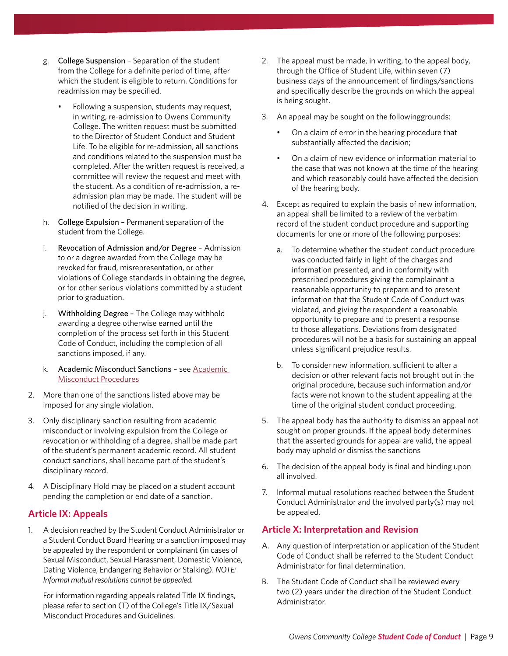- g. College Suspension Separation of the student from the College for a definite period of time, after which the student is eligible to return. Conditions for readmission may be specified.
	- Following a suspension, students may request, in writing, re-admission to Owens Community College. The written request must be submitted to the Director of Student Conduct and Student Life. To be eligible for re-admission, all sanctions and conditions related to the suspension must be completed. After the written request is received, a committee will review the request and meet with the student. As a condition of re-admission, a readmission plan may be made. The student will be notified of the decision in writing.
- h. College Expulsion Permanent separation of the student from the College.
- i. Revocation of Admission and/or Degree Admission to or a degree awarded from the College may be revoked for fraud, misrepresentation, or other violations of College standards in obtaining the degree, or for other serious violations committed by a student prior to graduation.
- j. Withholding Degree The College may withhold awarding a degree otherwise earned until the completion of the process set forth in this Student Code of Conduct, including the completion of all sanctions imposed, if any.
- k. Academic Misconduct Sanctions see [Academic](https://cdn.owens.edu/trustees/procedures/proc3358-11-2-55.pdf)  [Misconduct Procedures](https://cdn.owens.edu/trustees/procedures/proc3358-11-2-55.pdf)
- 2. More than one of the sanctions listed above may be imposed for any single violation.
- 3. Only disciplinary sanction resulting from academic misconduct or involving expulsion from the College or revocation or withholding of a degree, shall be made part of the student's permanent academic record. All student conduct sanctions, shall become part of the student's disciplinary record.
- 4. A Disciplinary Hold may be placed on a student account pending the completion or end date of a sanction.

# **Article IX: Appeals**

1. A decision reached by the Student Conduct Administrator or a Student Conduct Board Hearing or a sanction imposed may be appealed by the respondent or complainant (in cases of Sexual Misconduct, Sexual Harassment, Domestic Violence, Dating Violence, Endangering Behavior or Stalking). *NOTE: Informal mutual resolutions cannot be appealed.*

For information regarding appeals related Title IX findings, please refer to section (T) of the College's Title IX/Sexual Misconduct Procedures and Guidelines.

- 2. The appeal must be made, in writing, to the appeal body, through the Office of Student Life, within seven (7) business days of the announcement of findings/sanctions and specifically describe the grounds on which the appeal is being sought.
- 3. An appeal may be sought on the followinggrounds:
	- On a claim of error in the hearing procedure that substantially affected the decision;
	- On a claim of new evidence or information material to the case that was not known at the time of the hearing and which reasonably could have affected the decision of the hearing body.
- 4. Except as required to explain the basis of new information, an appeal shall be limited to a review of the verbatim record of the student conduct procedure and supporting documents for one or more of the following purposes:
	- a. To determine whether the student conduct procedure was conducted fairly in light of the charges and information presented, and in conformity with prescribed procedures giving the complainant a reasonable opportunity to prepare and to present information that the Student Code of Conduct was violated, and giving the respondent a reasonable opportunity to prepare and to present a response to those allegations. Deviations from designated procedures will not be a basis for sustaining an appeal unless significant prejudice results.
	- b. To consider new information, sufficient to alter a decision or other relevant facts not brought out in the original procedure, because such information and/or facts were not known to the student appealing at the time of the original student conduct proceeding.
- 5. The appeal body has the authority to dismiss an appeal not sought on proper grounds. If the appeal body determines that the asserted grounds for appeal are valid, the appeal body may uphold or dismiss the sanctions
- 6. The decision of the appeal body is final and binding upon all involved.
- 7. Informal mutual resolutions reached between the Student Conduct Administrator and the involved party(s) may not be appealed.

# **Article X: Interpretation and Revision**

- A. Any question of interpretation or application of the Student Code of Conduct shall be referred to the Student Conduct Administrator for final determination.
- B. The Student Code of Conduct shall be reviewed every two (2) years under the direction of the Student Conduct Administrator.